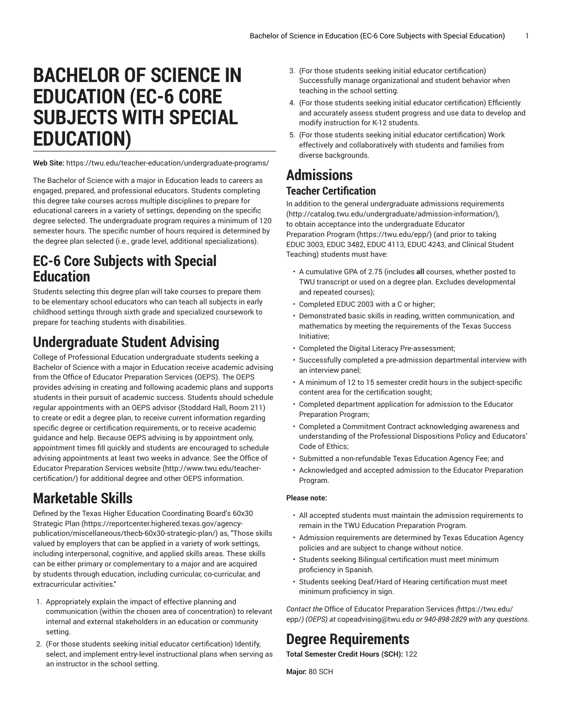# **BACHELOR OF SCIENCE IN EDUCATION (EC-6 CORE SUBJECTS WITH SPECIAL EDUCATION)**

**Web Site:** https://twu.edu/teacher-education/undergraduate-programs/

The Bachelor of Science with a major in Education leads to careers as engaged, prepared, and professional educators. Students completing this degree take courses across multiple disciplines to prepare for educational careers in a variety of settings, depending on the specific degree selected. The undergraduate program requires a minimum of 120 semester hours. The specific number of hours required is determined by the degree plan selected (i.e., grade level, additional specializations).

## **EC-6 Core Subjects with Special Education**

Students selecting this degree plan will take courses to prepare them to be elementary school educators who can teach all subjects in early childhood settings through sixth grade and specialized coursework to prepare for teaching students with disabilities.

## **Undergraduate Student Advising**

College of Professional Education undergraduate students seeking a Bachelor of Science with a major in Education receive academic advising from the Office of Educator Preparation Services (OEPS). The OEPS provides advising in creating and following academic plans and supports students in their pursuit of academic success. Students should schedule regular appointments with an OEPS advisor (Stoddard Hall, Room 211) to create or edit a degree plan, to receive current information regarding specific degree or certification requirements, or to receive academic guidance and help. Because OEPS advising is by appointment only, appointment times fill quickly and students are encouraged to schedule advising appointments at least two weeks in advance. See the [Office of](http://www.twu.edu/teacher-certification/) Educator [Preparation](http://www.twu.edu/teacher-certification/) Services website ([http://www.twu.edu/teacher](http://www.twu.edu/teacher-certification/)[certification/](http://www.twu.edu/teacher-certification/)) for additional degree and other OEPS information.

## **Marketable Skills**

Defined by the Texas Higher Education [Coordinating](https://reportcenter.highered.texas.gov/agency-publication/miscellaneous/thecb-60x30-strategic-plan/) Board's 60x30 [Strategic Plan \(https://reportcenter.highered.texas.gov/agency](https://reportcenter.highered.texas.gov/agency-publication/miscellaneous/thecb-60x30-strategic-plan/)[publication/miscellaneous/thecb-60x30-strategic-plan/](https://reportcenter.highered.texas.gov/agency-publication/miscellaneous/thecb-60x30-strategic-plan/)) as, "Those skills valued by employers that can be applied in a variety of work settings, including interpersonal, cognitive, and applied skills areas. These skills can be either primary or complementary to a major and are acquired by students through education, including curricular, co-curricular, and extracurricular activities."

- 1. Appropriately explain the impact of effective planning and communication (within the chosen area of concentration) to relevant internal and external stakeholders in an education or community setting.
- 2. (For those students seeking initial educator certification) Identify, select, and implement entry-level instructional plans when serving as an instructor in the school setting.
- 3. (For those students seeking initial educator certification) Successfully manage organizational and student behavior when teaching in the school setting.
- 4. (For those students seeking initial educator certification) Efficiently and accurately assess student progress and use data to develop and modify instruction for K-12 students.
- 5. (For those students seeking initial educator certification) Work effectively and collaboratively with students and families from diverse backgrounds.

# **Admissions**

## **Teacher Certification**

In addition to the general [undergraduate](http://catalog.twu.edu/undergraduate/admission-information/) admissions requirements [\(http://catalog.twu.edu/undergraduate/admission-information/](http://catalog.twu.edu/undergraduate/admission-information/)), to obtain acceptance into the undergraduate [Educator](https://twu.edu/epp/) [Preparation](https://twu.edu/epp/) Program (<https://twu.edu/epp/>) (and prior to taking EDUC 3003, EDUC 3482, EDUC 4113, EDUC 4243, and Clinical Student Teaching) students must have:

- A cumulative GPA of 2.75 (includes **all** courses, whether posted to TWU transcript or used on a degree plan. Excludes developmental and repeated courses);
- Completed EDUC 2003 with a C or higher;
- Demonstrated basic skills in reading, written communication, and mathematics by meeting the requirements of the Texas Success Initiative;
- Completed the Digital Literacy Pre-assessment;
- Successfully completed a pre-admission departmental interview with an interview panel;
- A minimum of 12 to 15 semester credit hours in the subject-specific content area for the certification sought;
- Completed department application for admission to the Educator Preparation Program;
- Completed a Commitment Contract acknowledging awareness and understanding of the Professional Dispositions Policy and Educators' Code of Ethics;
- Submitted a non-refundable Texas Education Agency Fee; and
- Acknowledged and accepted admission to the Educator Preparation Program.

#### **Please note:**

- All accepted students must maintain the admission requirements to remain in the TWU Education Preparation Program.
- Admission requirements are determined by Texas Education Agency policies and are subject to change without notice.
- Students seeking Bilingual certification must meet minimum proficiency in Spanish.
- Students seeking Deaf/Hard of Hearing certification must meet minimum proficiency in sign.

*Contact the* Office of Educator [Preparation](https://twu.edu/epp/) Services *(*[https://twu.edu/](https://twu.edu/epp/) [epp/](https://twu.edu/epp/)*) (OEPS) at* [copeadvising@twu.edu](mailto:copeadvising@twu.edu) *or 940-898-2829 with any questions.*

# **Degree Requirements**

**Total Semester Credit Hours (SCH):** 122

**Major:** 80 SCH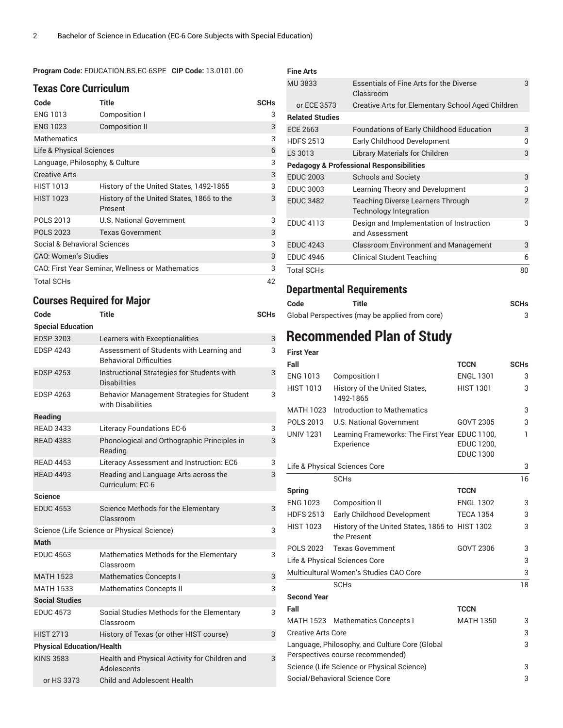**Program Code:** EDUCATION.BS.EC-6SPE **CIP Code:** 13.0101.00

#### **Texas Core Curriculum**

| Code                                             | Title                                                | <b>SCHs</b> |
|--------------------------------------------------|------------------------------------------------------|-------------|
| <b>ENG 1013</b>                                  | Composition I                                        | 3           |
| <b>ENG 1023</b>                                  | <b>Composition II</b>                                | 3           |
| Mathematics                                      |                                                      | 3           |
| Life & Physical Sciences                         |                                                      | 6           |
| Language, Philosophy, & Culture                  |                                                      | 3           |
| <b>Creative Arts</b>                             |                                                      | 3           |
| <b>HIST 1013</b>                                 | History of the United States, 1492-1865              | 3           |
| <b>HIST 1023</b>                                 | History of the United States, 1865 to the<br>Present | 3           |
| <b>POLS 2013</b>                                 | <b>U.S. National Government</b>                      | 3           |
| <b>POLS 2023</b>                                 | <b>Texas Government</b>                              | 3           |
| Social & Behavioral Sciences                     |                                                      | 3           |
| <b>CAO: Women's Studies</b>                      |                                                      |             |
| CAO: First Year Seminar, Wellness or Mathematics |                                                      |             |
| <b>Total SCHs</b>                                |                                                      | 42          |

### **Courses Required for Major**

**Code Title SCHs**

| <b>Special Education</b>         |                       |                                                                            |   |  |
|----------------------------------|-----------------------|----------------------------------------------------------------------------|---|--|
|                                  | <b>EDSP 3203</b>      | Learners with Exceptionalities                                             | 3 |  |
|                                  | <b>EDSP 4243</b>      | Assessment of Students with Learning and<br><b>Behavioral Difficulties</b> | 3 |  |
|                                  | <b>EDSP 4253</b>      | Instructional Strategies for Students with<br><b>Disabilities</b>          | 3 |  |
|                                  | <b>EDSP 4263</b>      | Behavior Management Strategies for Student<br>with Disabilities            | 3 |  |
|                                  | Reading               |                                                                            |   |  |
|                                  | <b>RFAD 3433</b>      | <b>Literacy Foundations EC-6</b>                                           | 3 |  |
|                                  | <b>RFAD 4383</b>      | Phonological and Orthographic Principles in<br>Reading                     | 3 |  |
|                                  | <b>READ 4453</b>      | Literacy Assessment and Instruction: EC6                                   | 3 |  |
|                                  | <b>RFAD 4493</b>      | Reading and Language Arts across the<br>Curriculum: EC-6                   | 3 |  |
|                                  | <b>Science</b>        |                                                                            |   |  |
|                                  | <b>EDUC 4553</b>      | Science Methods for the Elementary<br>Classroom                            | 3 |  |
|                                  |                       | Science (Life Science or Physical Science)                                 | 3 |  |
|                                  | Math                  |                                                                            |   |  |
|                                  | <b>EDUC 4563</b>      | Mathematics Methods for the Elementary<br>Classroom                        | 3 |  |
|                                  | <b>MATH 1523</b>      | <b>Mathematics Concepts I</b>                                              | 3 |  |
|                                  | <b>MATH 1533</b>      | <b>Mathematics Concepts II</b>                                             | 3 |  |
|                                  | <b>Social Studies</b> |                                                                            |   |  |
|                                  | <b>EDUC 4573</b>      | Social Studies Methods for the Elementary<br>Classroom                     | 3 |  |
|                                  | <b>HIST 2713</b>      | History of Texas (or other HIST course)                                    | 3 |  |
| <b>Physical Education/Health</b> |                       |                                                                            |   |  |
|                                  | <b>KINS 3583</b>      | Health and Physical Activity for Children and<br>Adolescents               | 3 |  |
|                                  | or HS 3373            | <b>Child and Adolescent Health</b>                                         |   |  |

| <b>Fine Arts</b>                                    |                                                                           |                |
|-----------------------------------------------------|---------------------------------------------------------------------------|----------------|
| MU 3833                                             | Essentials of Fine Arts for the Diverse<br>Classroom                      | 3              |
| or ECE 3573                                         | Creative Arts for Elementary School Aged Children                         |                |
| <b>Related Studies</b>                              |                                                                           |                |
| ECE 2663                                            | <b>Foundations of Early Childhood Education</b>                           | 3              |
| <b>HDFS 2513</b>                                    | Early Childhood Development                                               | 3              |
| LS 3013                                             | Library Materials for Children                                            | 3              |
| <b>Pedagogy &amp; Professional Responsibilities</b> |                                                                           |                |
| <b>EDUC 2003</b>                                    | <b>Schools and Society</b>                                                | 3              |
| <b>EDUC 3003</b>                                    | Learning Theory and Development                                           | 3              |
| <b>EDUC 3482</b>                                    | <b>Teaching Diverse Learners Through</b><br><b>Technology Integration</b> | $\overline{2}$ |
| <b>EDUC 4113</b>                                    | Design and Implementation of Instruction<br>and Assessment                | 3              |
| <b>EDUC 4243</b>                                    | <b>Classroom Environment and Management</b>                               | 3              |
| <b>EDUC 4946</b>                                    | Clinical Student Teaching                                                 | 6              |
| <b>Total SCHs</b>                                   |                                                                           | 80             |

### **Departmental Requirements**

| Code | Title                                          | <b>SCHs</b> |
|------|------------------------------------------------|-------------|
|      | Global Perspectives (may be applied from core) |             |

## **Recommended Plan of Study**

| <b>First Year</b>                                                                  |                                                 |                   |             |
|------------------------------------------------------------------------------------|-------------------------------------------------|-------------------|-------------|
| Fall                                                                               |                                                 | <b>TCCN</b>       | <b>SCHs</b> |
| <b>ENG 1013</b>                                                                    | Composition I                                   | <b>ENGL 1301</b>  | 3           |
| <b>HIST 1013</b>                                                                   | History of the United States,<br>1492-1865      | <b>HIST 1301</b>  | 3           |
| <b>MATH 1023</b>                                                                   | Introduction to Mathematics                     |                   | 3           |
| POLS 2013                                                                          | <b>U.S. National Government</b>                 | GOVT 2305         | 3           |
| <b>UNIV 1231</b>                                                                   | Learning Frameworks: The First Year EDUC 1100,  |                   | 1           |
|                                                                                    | Experience                                      | <b>EDUC 1200,</b> |             |
|                                                                                    |                                                 | <b>EDUC 1300</b>  |             |
|                                                                                    | Life & Physical Sciences Core                   |                   | 3           |
|                                                                                    | <b>SCHs</b>                                     |                   | 16          |
| Spring                                                                             |                                                 | <b>TCCN</b>       |             |
| <b>ENG 1023</b>                                                                    | <b>Composition II</b>                           | <b>ENGL 1302</b>  | 3           |
| <b>HDFS 2513</b>                                                                   | Early Childhood Development                     | <b>TECA 1354</b>  | 3           |
| <b>HIST 1023</b>                                                                   | History of the United States, 1865 to HIST 1302 |                   | 3           |
|                                                                                    | the Present                                     |                   |             |
| <b>POLS 2023</b>                                                                   | <b>Texas Government</b>                         | GOVT 2306         | 3           |
|                                                                                    | Life & Physical Sciences Core                   |                   | 3           |
|                                                                                    | Multicultural Women's Studies CAO Core          |                   | 3           |
|                                                                                    | <b>SCH<sub>s</sub></b>                          |                   | 18          |
| <b>Second Year</b>                                                                 |                                                 |                   |             |
| Fall                                                                               |                                                 | <b>TCCN</b>       |             |
|                                                                                    | MATH 1523 Mathematics Concepts I                | <b>MATH 1350</b>  | 3           |
| <b>Creative Arts Core</b>                                                          |                                                 |                   | 3           |
| Language, Philosophy, and Culture Core (Global<br>Perspectives course recommended) |                                                 |                   | 3           |
| Science (Life Science or Physical Science)                                         |                                                 |                   | 3           |
|                                                                                    | Social/Behavioral Science Core                  |                   | 3           |